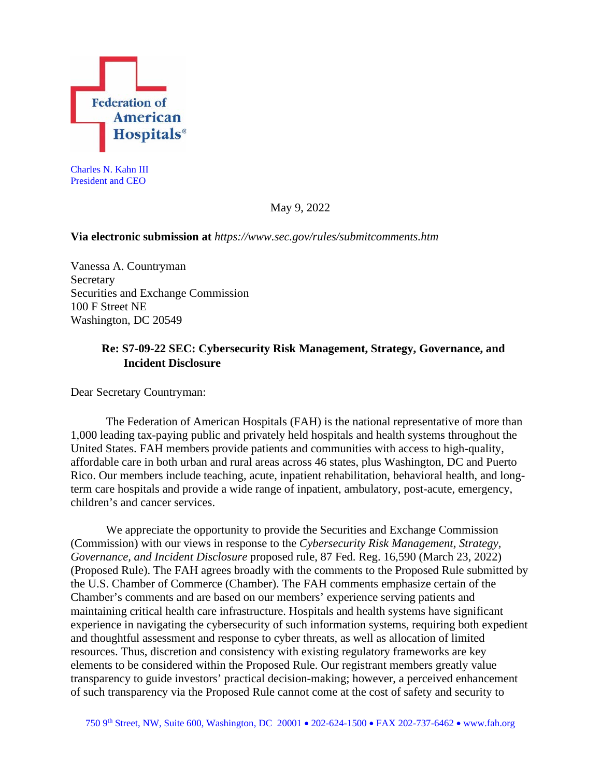

Charles N. Kahn III President and CEO

May 9, 2022

### **Via electronic submission at** *https://www.sec.gov/rules/submitcomments.htm*

Vanessa A. Countryman Secretary Securities and Exchange Commission 100 F Street NE Washington, DC 20549

# **Re: S7-09-22 SEC: Cybersecurity Risk Management, Strategy, Governance, and Incident Disclosure**

Dear Secretary Countryman:

The Federation of American Hospitals (FAH) is the national representative of more than 1,000 leading tax-paying public and privately held hospitals and health systems throughout the United States. FAH members provide patients and communities with access to high-quality, affordable care in both urban and rural areas across 46 states, plus Washington, DC and Puerto Rico. Our members include teaching, acute, inpatient rehabilitation, behavioral health, and longterm care hospitals and provide a wide range of inpatient, ambulatory, post-acute, emergency, children's and cancer services.

We appreciate the opportunity to provide the Securities and Exchange Commission (Commission) with our views in response to the *Cybersecurity Risk Management, Strategy, Governance, and Incident Disclosure* proposed rule, 87 Fed. Reg. 16,590 (March 23, 2022) (Proposed Rule). The FAH agrees broadly with the comments to the Proposed Rule submitted by the U.S. Chamber of Commerce (Chamber). The FAH comments emphasize certain of the Chamber's comments and are based on our members' experience serving patients and maintaining critical health care infrastructure. Hospitals and health systems have significant experience in navigating the cybersecurity of such information systems, requiring both expedient and thoughtful assessment and response to cyber threats, as well as allocation of limited resources. Thus, discretion and consistency with existing regulatory frameworks are key elements to be considered within the Proposed Rule. Our registrant members greatly value transparency to guide investors' practical decision-making; however, a perceived enhancement of such transparency via the Proposed Rule cannot come at the cost of safety and security to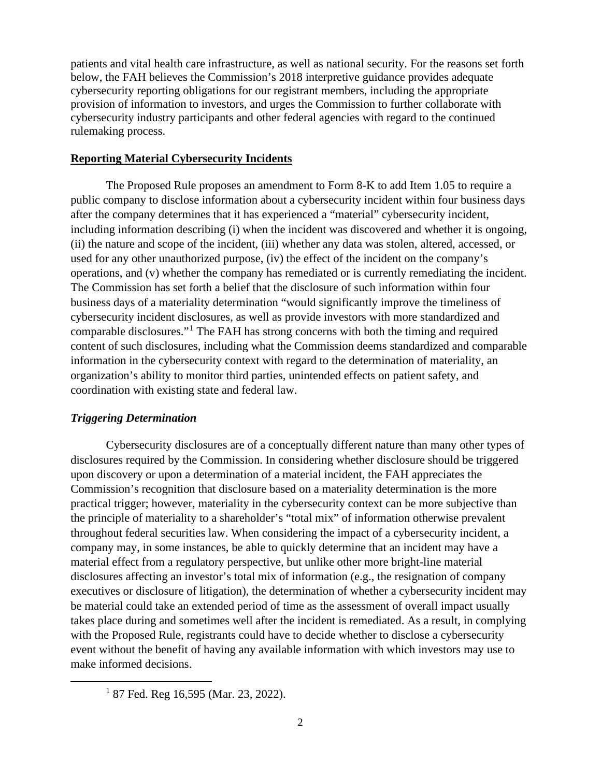patients and vital health care infrastructure, as well as national security. For the reasons set forth below, the FAH believes the Commission's 2018 interpretive guidance provides adequate cybersecurity reporting obligations for our registrant members, including the appropriate provision of information to investors, and urges the Commission to further collaborate with cybersecurity industry participants and other federal agencies with regard to the continued rulemaking process.

### **Reporting Material Cybersecurity Incidents**

The Proposed Rule proposes an amendment to Form 8-K to add Item 1.05 to require a public company to disclose information about a cybersecurity incident within four business days after the company determines that it has experienced a "material" cybersecurity incident, including information describing (i) when the incident was discovered and whether it is ongoing, (ii) the nature and scope of the incident, (iii) whether any data was stolen, altered, accessed, or used for any other unauthorized purpose, (iv) the effect of the incident on the company's operations, and (v) whether the company has remediated or is currently remediating the incident. The Commission has set forth a belief that the disclosure of such information within four business days of a materiality determination "would significantly improve the timeliness of cybersecurity incident disclosures, as well as provide investors with more standardized and comparable disclosures."[1](#page-1-0) The FAH has strong concerns with both the timing and required content of such disclosures, including what the Commission deems standardized and comparable information in the cybersecurity context with regard to the determination of materiality, an organization's ability to monitor third parties, unintended effects on patient safety, and coordination with existing state and federal law.

## *Triggering Determination*

Cybersecurity disclosures are of a conceptually different nature than many other types of disclosures required by the Commission. In considering whether disclosure should be triggered upon discovery or upon a determination of a material incident, the FAH appreciates the Commission's recognition that disclosure based on a materiality determination is the more practical trigger; however, materiality in the cybersecurity context can be more subjective than the principle of materiality to a shareholder's "total mix" of information otherwise prevalent throughout federal securities law. When considering the impact of a cybersecurity incident, a company may, in some instances, be able to quickly determine that an incident may have a material effect from a regulatory perspective, but unlike other more bright-line material disclosures affecting an investor's total mix of information (e.g., the resignation of company executives or disclosure of litigation), the determination of whether a cybersecurity incident may be material could take an extended period of time as the assessment of overall impact usually takes place during and sometimes well after the incident is remediated. As a result, in complying with the Proposed Rule, registrants could have to decide whether to disclose a cybersecurity event without the benefit of having any available information with which investors may use to make informed decisions.

<span id="page-1-0"></span> $187$  Fed. Reg 16,595 (Mar. 23, 2022).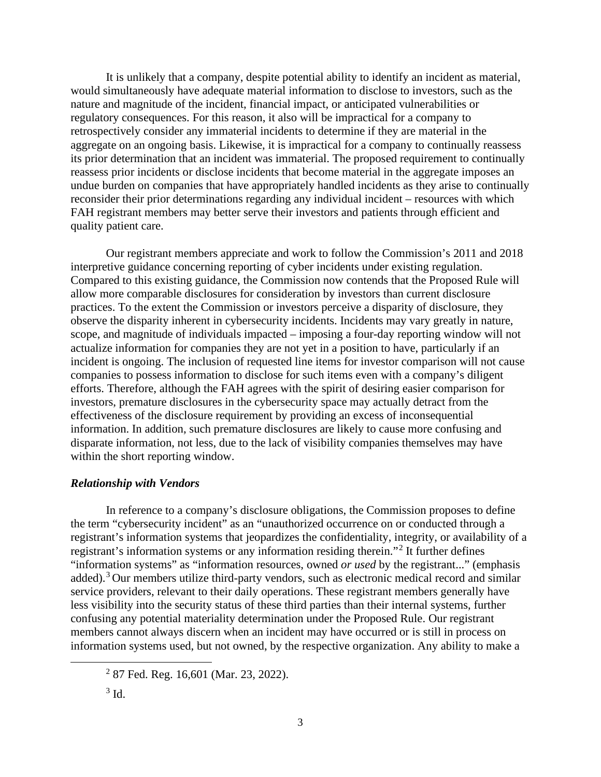It is unlikely that a company, despite potential ability to identify an incident as material, would simultaneously have adequate material information to disclose to investors, such as the nature and magnitude of the incident, financial impact, or anticipated vulnerabilities or regulatory consequences. For this reason, it also will be impractical for a company to retrospectively consider any immaterial incidents to determine if they are material in the aggregate on an ongoing basis. Likewise, it is impractical for a company to continually reassess its prior determination that an incident was immaterial. The proposed requirement to continually reassess prior incidents or disclose incidents that become material in the aggregate imposes an undue burden on companies that have appropriately handled incidents as they arise to continually reconsider their prior determinations regarding any individual incident – resources with which FAH registrant members may better serve their investors and patients through efficient and quality patient care.

Our registrant members appreciate and work to follow the Commission's 2011 and 2018 interpretive guidance concerning reporting of cyber incidents under existing regulation. Compared to this existing guidance, the Commission now contends that the Proposed Rule will allow more comparable disclosures for consideration by investors than current disclosure practices. To the extent the Commission or investors perceive a disparity of disclosure, they observe the disparity inherent in cybersecurity incidents. Incidents may vary greatly in nature, scope, and magnitude of individuals impacted – imposing a four-day reporting window will not actualize information for companies they are not yet in a position to have, particularly if an incident is ongoing. The inclusion of requested line items for investor comparison will not cause companies to possess information to disclose for such items even with a company's diligent efforts. Therefore, although the FAH agrees with the spirit of desiring easier comparison for investors, premature disclosures in the cybersecurity space may actually detract from the effectiveness of the disclosure requirement by providing an excess of inconsequential information. In addition, such premature disclosures are likely to cause more confusing and disparate information, not less, due to the lack of visibility companies themselves may have within the short reporting window.

### *Relationship with Vendors*

In reference to a company's disclosure obligations, the Commission proposes to define the term "cybersecurity incident" as an "unauthorized occurrence on or conducted through a registrant's information systems that jeopardizes the confidentiality, integrity, or availability of a registrant's information systems or any information residing therein."[2](#page-2-0) It further defines "information systems" as "information resources, owned *or used* by the registrant..." (emphasis added).[3](#page-2-1) Our members utilize third-party vendors, such as electronic medical record and similar service providers, relevant to their daily operations. These registrant members generally have less visibility into the security status of these third parties than their internal systems, further confusing any potential materiality determination under the Proposed Rule. Our registrant members cannot always discern when an incident may have occurred or is still in process on information systems used, but not owned, by the respective organization. Any ability to make a

<span id="page-2-0"></span><sup>2</sup> 87 Fed. Reg. 16,601 (Mar. 23, 2022).

<span id="page-2-1"></span> $3 \text{ Id}$ .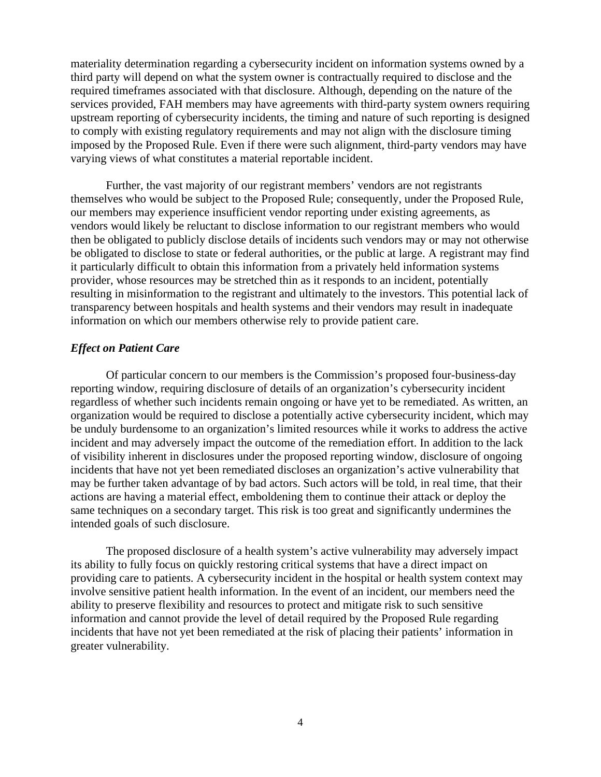materiality determination regarding a cybersecurity incident on information systems owned by a third party will depend on what the system owner is contractually required to disclose and the required timeframes associated with that disclosure. Although, depending on the nature of the services provided, FAH members may have agreements with third-party system owners requiring upstream reporting of cybersecurity incidents, the timing and nature of such reporting is designed to comply with existing regulatory requirements and may not align with the disclosure timing imposed by the Proposed Rule. Even if there were such alignment, third-party vendors may have varying views of what constitutes a material reportable incident.

Further, the vast majority of our registrant members' vendors are not registrants themselves who would be subject to the Proposed Rule; consequently, under the Proposed Rule, our members may experience insufficient vendor reporting under existing agreements, as vendors would likely be reluctant to disclose information to our registrant members who would then be obligated to publicly disclose details of incidents such vendors may or may not otherwise be obligated to disclose to state or federal authorities, or the public at large. A registrant may find it particularly difficult to obtain this information from a privately held information systems provider, whose resources may be stretched thin as it responds to an incident, potentially resulting in misinformation to the registrant and ultimately to the investors. This potential lack of transparency between hospitals and health systems and their vendors may result in inadequate information on which our members otherwise rely to provide patient care.

### *Effect on Patient Care*

Of particular concern to our members is the Commission's proposed four-business-day reporting window, requiring disclosure of details of an organization's cybersecurity incident regardless of whether such incidents remain ongoing or have yet to be remediated. As written, an organization would be required to disclose a potentially active cybersecurity incident, which may be unduly burdensome to an organization's limited resources while it works to address the active incident and may adversely impact the outcome of the remediation effort. In addition to the lack of visibility inherent in disclosures under the proposed reporting window, disclosure of ongoing incidents that have not yet been remediated discloses an organization's active vulnerability that may be further taken advantage of by bad actors. Such actors will be told, in real time, that their actions are having a material effect, emboldening them to continue their attack or deploy the same techniques on a secondary target. This risk is too great and significantly undermines the intended goals of such disclosure.

The proposed disclosure of a health system's active vulnerability may adversely impact its ability to fully focus on quickly restoring critical systems that have a direct impact on providing care to patients. A cybersecurity incident in the hospital or health system context may involve sensitive patient health information. In the event of an incident, our members need the ability to preserve flexibility and resources to protect and mitigate risk to such sensitive information and cannot provide the level of detail required by the Proposed Rule regarding incidents that have not yet been remediated at the risk of placing their patients' information in greater vulnerability.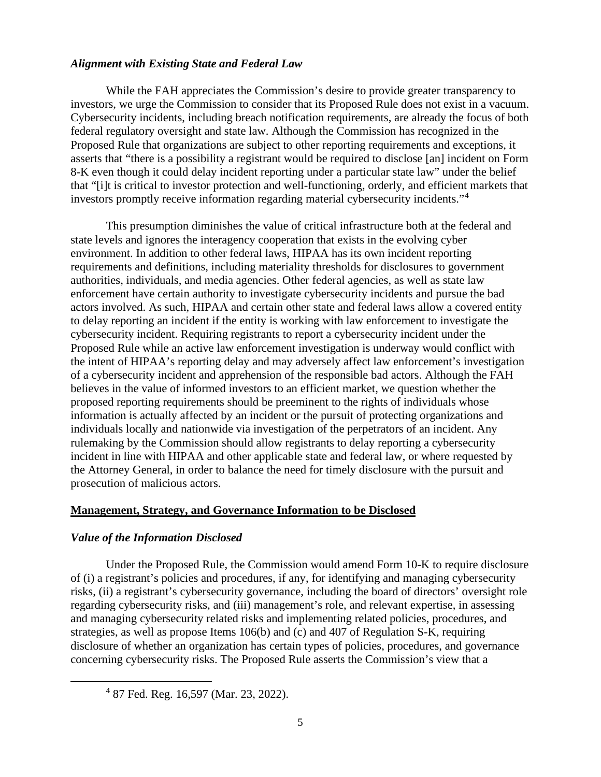### *Alignment with Existing State and Federal Law*

While the FAH appreciates the Commission's desire to provide greater transparency to investors, we urge the Commission to consider that its Proposed Rule does not exist in a vacuum. Cybersecurity incidents, including breach notification requirements, are already the focus of both federal regulatory oversight and state law. Although the Commission has recognized in the Proposed Rule that organizations are subject to other reporting requirements and exceptions, it asserts that "there is a possibility a registrant would be required to disclose [an] incident on Form 8-K even though it could delay incident reporting under a particular state law" under the belief that "[i]t is critical to investor protection and well-functioning, orderly, and efficient markets that investors promptly receive information regarding material cybersecurity incidents."[4](#page-4-0)

This presumption diminishes the value of critical infrastructure both at the federal and state levels and ignores the interagency cooperation that exists in the evolving cyber environment. In addition to other federal laws, HIPAA has its own incident reporting requirements and definitions, including materiality thresholds for disclosures to government authorities, individuals, and media agencies. Other federal agencies, as well as state law enforcement have certain authority to investigate cybersecurity incidents and pursue the bad actors involved. As such, HIPAA and certain other state and federal laws allow a covered entity to delay reporting an incident if the entity is working with law enforcement to investigate the cybersecurity incident. Requiring registrants to report a cybersecurity incident under the Proposed Rule while an active law enforcement investigation is underway would conflict with the intent of HIPAA's reporting delay and may adversely affect law enforcement's investigation of a cybersecurity incident and apprehension of the responsible bad actors. Although the FAH believes in the value of informed investors to an efficient market, we question whether the proposed reporting requirements should be preeminent to the rights of individuals whose information is actually affected by an incident or the pursuit of protecting organizations and individuals locally and nationwide via investigation of the perpetrators of an incident. Any rulemaking by the Commission should allow registrants to delay reporting a cybersecurity incident in line with HIPAA and other applicable state and federal law, or where requested by the Attorney General, in order to balance the need for timely disclosure with the pursuit and prosecution of malicious actors.

### **Management, Strategy, and Governance Information to be Disclosed**

### *Value of the Information Disclosed*

Under the Proposed Rule, the Commission would amend Form 10-K to require disclosure of (i) a registrant's policies and procedures, if any, for identifying and managing cybersecurity risks, (ii) a registrant's cybersecurity governance, including the board of directors' oversight role regarding cybersecurity risks, and (iii) management's role, and relevant expertise, in assessing and managing cybersecurity related risks and implementing related policies, procedures, and strategies, as well as propose Items 106(b) and (c) and 407 of Regulation S-K, requiring disclosure of whether an organization has certain types of policies, procedures, and governance concerning cybersecurity risks. The Proposed Rule asserts the Commission's view that a

<span id="page-4-0"></span><sup>4</sup> 87 Fed. Reg. 16,597 (Mar. 23, 2022).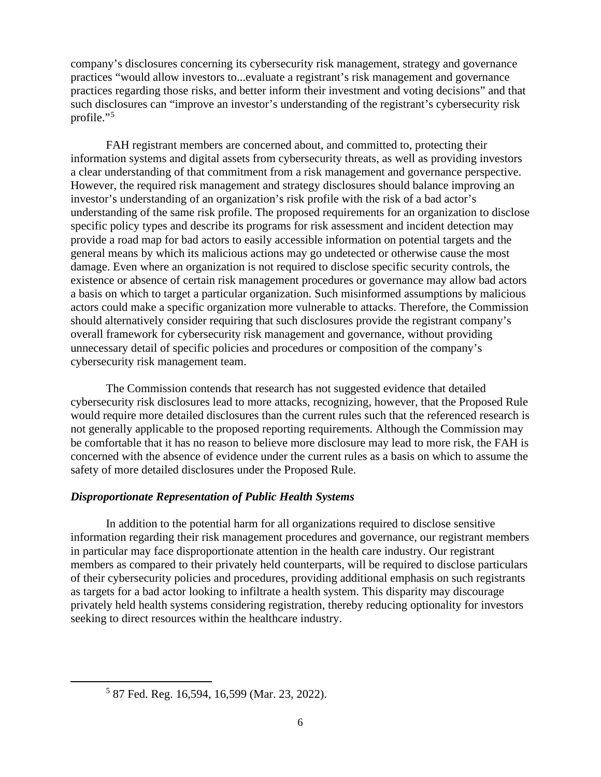company's disclosures concerning its cybersecurity risk management, strategy and governance practices "would allow investors to...evaluate a registrant's risk management and governance practices regarding those risks, and better inform their investment and voting decisions" and that such disclosures can "improve an investor's understanding of the registrant's cybersecurity risk profile."<sup>[5](#page-5-0)</sup>

FAH registrant members are concerned about, and committed to, protecting their information systems and digital assets from cybersecurity threats, as well as providing investors a clear understanding of that commitment from a risk management and governance perspective. However, the required risk management and strategy disclosures should balance improving an investor's understanding of an organization's risk profile with the risk of a bad actor's understanding of the same risk profile. The proposed requirements for an organization to disclose specific policy types and describe its programs for risk assessment and incident detection may provide a road map for bad actors to easily accessible information on potential targets and the general means by which its malicious actions may go undetected or otherwise cause the most damage. Even where an organization is not required to disclose specific security controls, the existence or absence of certain risk management procedures or governance may allow bad actors a basis on which to target a particular organization. Such misinformed assumptions by malicious actors could make a specific organization more vulnerable to attacks. Therefore, the Commission should alternatively consider requiring that such disclosures provide the registrant company's overall framework for cybersecurity risk management and governance, without providing unnecessary detail of specific policies and procedures or composition of the company's cybersecurity risk management team.

The Commission contends that research has not suggested evidence that detailed cybersecurity risk disclosures lead to more attacks, recognizing, however, that the Proposed Rule would require more detailed disclosures than the current rules such that the referenced research is not generally applicable to the proposed reporting requirements. Although the Commission may be comfortable that it has no reason to believe more disclosure may lead to more risk, the FAH is concerned with the absence of evidence under the current rules as a basis on which to assume the safety of more detailed disclosures under the Proposed Rule.

## *Disproportionate Representation of Public Health Systems*

In addition to the potential harm for all organizations required to disclose sensitive information regarding their risk management procedures and governance, our registrant members in particular may face disproportionate attention in the health care industry. Our registrant members as compared to their privately held counterparts, will be required to disclose particulars of their cybersecurity policies and procedures, providing additional emphasis on such registrants as targets for a bad actor looking to infiltrate a health system. This disparity may discourage privately held health systems considering registration, thereby reducing optionality for investors seeking to direct resources within the healthcare industry.

<span id="page-5-0"></span><sup>5</sup> 87 Fed. Reg. 16,594, 16,599 (Mar. 23, 2022).